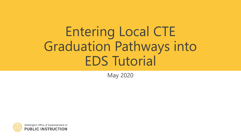# Entering Local CTE Graduation Pathways into EDS Tutorial

May 2020

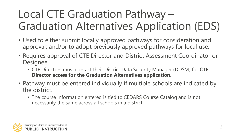# Local CTE Graduation Pathway – Graduation Alternatives Application (EDS)

- Used to either submit locally approved pathways for consideration and approval; and/or to adopt previously approved pathways for local use.
- Requires approval of CTE Director and District Assessment Coordinator or Designee.
	- CTE Directors must contact their District Data Security Manager (DDSM) for **CTE Director access for the Graduation Alternatives application**.
- Pathway must be entered individually if multiple schools are indicated by the district.
	- The course information entered is tied to CEDARS Course Catalog and is not necessarily the same across all schools in a district.

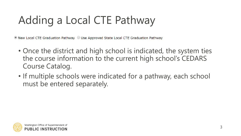# Adding a Local CTE Pathway

 $\bullet$  New Local CTE Graduation Pathway  $\circlearrowright$  Use Approved State Local CTE Graduation Pathway

- Once the district and high school is indicated, the system ties the course information to the current high school's CEDARS Course Catalog.
- If multiple schools were indicated for a pathway, each school must be entered separately.

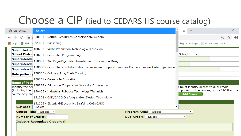### Choose a CIP (tied to CEDARS HS course catalog)

|              | <b>S</b> CTE Pathway |                                         | --Select--                                                                                      | $\times$                                   | $\div$            |                                             |               | $\Box$                |  |  |
|--------------|----------------------|-----------------------------------------|-------------------------------------------------------------------------------------------------|--------------------------------------------|-------------------|---------------------------------------------|---------------|-----------------------|--|--|
| $\leftarrow$ | $\rightarrow$        | $\mathcal{C}$                           | △ 030101 - Natural Resources/Conservation, General                                              |                                            |                   |                                             | $\oplus$<br>☆ | $\boldsymbol{\Theta}$ |  |  |
|              | $\blacksquare$ Apps  |                                         | <b>3</b> EDS \$ 091001 - Publishing                                                             |                                            |                   | College Board Login   fiscal.wa.gov State E |               |                       |  |  |
|              |                      |                                         | Submitted pa 100202 - Video Production Technology/Technician                                    |                                            |                   |                                             |               |                       |  |  |
|              |                      |                                         | School Distric 110201 - Computer Programming                                                    | School                                     |                   |                                             |               |                       |  |  |
|              |                      | <b>Superintende</b>                     | 110801 - WebPage/Digital/Multimedia and Information Design                                      |                                            |                   |                                             |               |                       |  |  |
|              |                      | Superintende<br>Superintende            | 118888 - Computer and Information Sciences and Support Services Cooperative Worksite Experience |                                            |                   |                                             |               |                       |  |  |
|              |                      |                                         | Date pathway 120503 - Culinary Arts/Chefs Training                                              |                                            |                   |                                             |               |                       |  |  |
|              |                      |                                         | 130101 - Careers In Education                                                                   |                                            |                   |                                             |               |                       |  |  |
|              |                      | <b>Name of Path</b><br>Identify the sed | 138888 - Education Cooperative Worksite Experience                                              | t must identify access to dual credit      |                   |                                             |               |                       |  |  |
|              |                      | (including the i                        | 150405 - Industrial Robotics Technology/Technician                                              | mponent of the course, or the IRC that the |                   |                                             |               |                       |  |  |
|              |                      | course sequend                          | 151302 - CAD/CADD Drafting and/or Design Technology                                             |                                            | <b>Add Course</b> |                                             |               |                       |  |  |
|              |                      |                                         | 151305 - Electrical/Electronics Drafting CAD/CADD                                               |                                            |                   |                                             |               |                       |  |  |
|              |                      |                                         | <b>CIP Code: --Select--</b>                                                                     |                                            |                   |                                             |               |                       |  |  |
|              |                      |                                         | Course Title: -- Select-- v<br><b>Program Area: --Select--</b>                                  |                                            |                   |                                             |               |                       |  |  |
|              |                      |                                         | <b>Dual Credit: --Select--</b><br><b>Number of Credits:</b>                                     | ▼                                          |                   |                                             |               |                       |  |  |
|              |                      |                                         | <b>Industry Recognized Credential:</b>                                                          |                                            |                   |                                             |               |                       |  |  |
|              |                      |                                         |                                                                                                 |                                            |                   |                                             |               |                       |  |  |
|              |                      |                                         |                                                                                                 |                                            |                   |                                             |               |                       |  |  |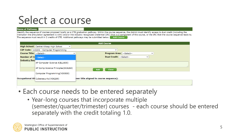## Select a course

#### **Name of Pathway:**

Identify the sequence of courses proposed locally as a CTE graduation pathway. Within the course sequence, the district must identify access to dual credit (including the institution the articulation agreement is with) and/or the industry recognized credential (IRC) that is a component of the course, or the IRC that the course sequence leads to. The sequence must result in 2 credits of CTE. Additional pathways may be submitted below. Add Course

| <b>Add Course</b>                                     |                                    |                                                |  |  |  |  |  |  |  |  |
|-------------------------------------------------------|------------------------------------|------------------------------------------------|--|--|--|--|--|--|--|--|
| High School: Central Kitsap High School               | $\checkmark$                       |                                                |  |  |  |  |  |  |  |  |
| CIP Code: 110201 - Computer Programming               |                                    | $\check{ }$                                    |  |  |  |  |  |  |  |  |
| <b>Course Title:   --Select--</b>                     | $\check{ }$                        | <b>Program Area: --Select--</b><br>$\check{ }$ |  |  |  |  |  |  |  |  |
| Number of Cr -- Select--                              |                                    | Dual Credit: -- Select--<br>$\check{ }$        |  |  |  |  |  |  |  |  |
| <b>Industry Reco</b><br>AP Computer Science A(EL1605) |                                    |                                                |  |  |  |  |  |  |  |  |
|                                                       | AP Comp Science Principles(SC6260) | <b>Close</b><br><b>Add</b>                     |  |  |  |  |  |  |  |  |
| Computer Programming (VO0500)                         |                                    |                                                |  |  |  |  |  |  |  |  |
| Occupational Ali Cybersecurity (VO6289)               |                                    | reer title aligned to course sequence):        |  |  |  |  |  |  |  |  |

- Each course needs to be entered separately
	- Year-long courses that incorporate multiple (semester/quarter/trimester) courses - each course should be entered separately with the credit totaling 1.0.

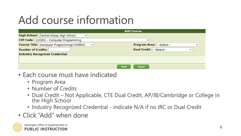# Add course information

|                                            |                                        | <b>Add Course</b>          |             |  |  |  |  |  |  |  |  |
|--------------------------------------------|----------------------------------------|----------------------------|-------------|--|--|--|--|--|--|--|--|
| High School: Central Kitsap High School    | $\checkmark$                           |                            |             |  |  |  |  |  |  |  |  |
| CIP Code: 110201 - Computer Programming    |                                        | $\check{ }$                |             |  |  |  |  |  |  |  |  |
| Course Title: Computer Programming(VO0500) | $\checkmark$                           | Program Area: -- Select--  | v           |  |  |  |  |  |  |  |  |
| <b>Number of Credits:</b>                  |                                        | Dual Credit: -- Select--   | $\check{ }$ |  |  |  |  |  |  |  |  |
|                                            | <b>Industry Recognized Credential:</b> |                            |             |  |  |  |  |  |  |  |  |
|                                            |                                        |                            |             |  |  |  |  |  |  |  |  |
|                                            |                                        |                            |             |  |  |  |  |  |  |  |  |
|                                            |                                        | <b>Add</b><br><b>Close</b> |             |  |  |  |  |  |  |  |  |

- Each course must have indicated
	- Program Area
	- Number of Credits
	- Dual Credit Not Applicable, CTE Dual Credit, AP/IB/Cambridge or College in the High School
	- Industry Recognized Credential indicate N/A if no IRC or Dual Credit
- Click "Add" when done

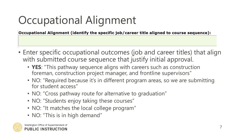# Occupational Alignment

Occupational Alignment (identify the specific job/career title aligned to course sequence):

- Enter specific occupational outcomes (job and career titles) that align with submitted course sequence that justify initial approval.
	- **YES**: "This pathway sequence aligns with careers such as construction foreman, construction project manager, and frontline supervisors"
	- NO: "Required because it's in different program areas, so we are submitting for student access"
	- NO: "Cross pathway route for alternative to graduation"
	- NO: "Students enjoy taking these courses"
	- NO: "It matches the local college program"
	- NO: "This is in high demand"

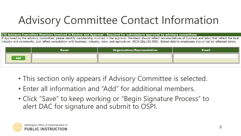# Advisory Committee Contact Information

CTE Advisory Committee Members Involved in Review and Approval - Required for submissions approved by advisory committees

If approved by the advisory committee, please identify membership involved in the approval. Members should reflect representatives of business and labor that reflect the local industry and community, and reflect consultation with business, industry, labor, and agriculture. (RCW.28a.150.500). School district employees should not be reflected below.

|     | <b>Name</b> | <b>Organization/Representation</b> | <b>Email</b> |
|-----|-------------|------------------------------------|--------------|
| Add |             |                                    |              |

- This section only appears if Advisory Committee is selected.
- Enter all information and "Add" for additional members.
- Click "Save" to keep working or "Begin Signature Process" to alert DAC for signature and submit to OSPI.

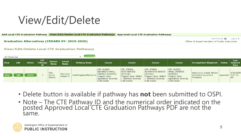## View/Edit/Delete

#### **Add Local CTE Graduation Pathway** View/Edit/Delete Local CTE Graduation Pathways Approved Local CTE Graduation Pathways

Print Friendly  $\blacksquare$ Logout  $\geq$ **Graduation Alternatives (CEDARS SY: 2019-2020)** Office of Superintendent of Public Instruction

#### **View/Edit/Delete Local CTE Graduation Pathways**



- Delete button is available if pathway has **not** been submitted to OSPI.
- Note The CTE Pathway ID and the numerical order indicated on the posted Approved Local CTE Graduation Pathways PDF are not the same.

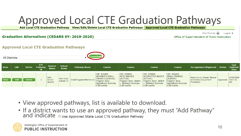## Approved Local CTE Graduation Pathways

Add Local CTE Graduation Pathway View/Edit/Delete Local CTE Graduation Pathways | Approved Local CTE Graduation Pathways

#### **Graduation Alternatives (CEDARS SY: 2019-2020)**

Print Friendly  $\blacksquare$ Logout  $\triangleright$ Office of Superintendent of Public Instruction

#### **Approved Local CTE Graduation Pathways**



| <b>View</b> | <b>Edit</b> | <b>Delete</b> | <b>CTE</b><br>Pathway<br>Id | <b>District</b><br><b>Name</b>    | <b>School</b><br>Name  | <b>Pathway Name</b>     | <b>Course</b>                                                                                                             | <b>Course</b>                                                                                                                 | <b>Course</b>                                                                                                                | <b>Course</b>                                                                                             | <b>Occupational Alignment</b> Status                           |                                  | Last<br><b>Updated</b><br><b>Date</b> |
|-------------|-------------|---------------|-----------------------------|-----------------------------------|------------------------|-------------------------|---------------------------------------------------------------------------------------------------------------------------|-------------------------------------------------------------------------------------------------------------------------------|------------------------------------------------------------------------------------------------------------------------------|-----------------------------------------------------------------------------------------------------------|----------------------------------------------------------------|----------------------------------|---------------------------------------|
| <b>View</b> | <b>Edit</b> | <b>Delete</b> |                             | Yelm<br>School<br><b>District</b> | Yelm High<br>School 12 | Small Engines/Mechanics | CIP: 010205<br><b>ADVANCED SMALL</b><br>ENGINES (AGR142)<br>Program Area:<br><b>Agricultural Sciences</b><br>0.50 credits | CIP: 470604<br><b>AUTO SERVICE</b><br>(AUT536)<br>Program Area: Skilled<br>+ Technical Sciences<br>$\mid$ 0.50 credits $\mid$ | CIP: 470600<br><b>AUTOMOTIVE BASICS</b><br>(AUT501)<br>Program Area: Skilled<br>+ Technical Sciences<br>$\vert$ 0.50 credits | CIP: 010205<br><b>SMALL ENGINES</b><br>(AGRI41)<br>Program Area:<br>Agricultural Sciences<br>0.50 credits | Automotive, Diesel, Marine<br>and Heavy Equipment<br>Mechanics | $\Delta$ pproved $\vert$ 9:07:16 | 4/28/2020<br><b>AM</b>                |

- View approved pathways, list is available to download.
- If a district wants to use an approved pathway, they must "Add Pathway" and indicate ouse Approved State Local CTE Graduation Pathway

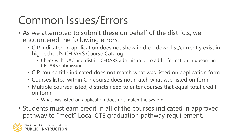# Common Issues/Errors

- As we attempted to submit these on behalf of the districts, we encountered the following errors:
	- CIP indicated in application does not show in drop down list/currently exist in high school's CEDARS Course Catalog
		- Check with DAC and district CEDARS administrator to add information in upcoming CEDARS submission.
	- CIP course title indicated does not match what was listed on application form.
	- Courses listed within CIP course does not match what was listed on form.
	- Multiple courses listed, districts need to enter courses that equal total credit on form.
		- What was listed on application does not match the system.
- Students must earn credit in all of the courses indicated in approved pathway to "meet" Local CTE graduation pathway requirement.

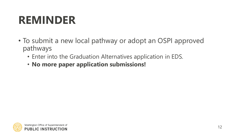## **REMINDER**

- To submit a new local pathway or adopt an OSPI approved pathways
	- Enter into the Graduation Alternatives application in EDS.
	- **No more paper application submissions!**

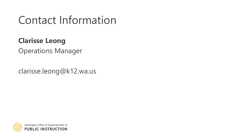### Contact Information

### **Clarisse Leong**

Operations Manager

clarisse.leong@k12.wa.us